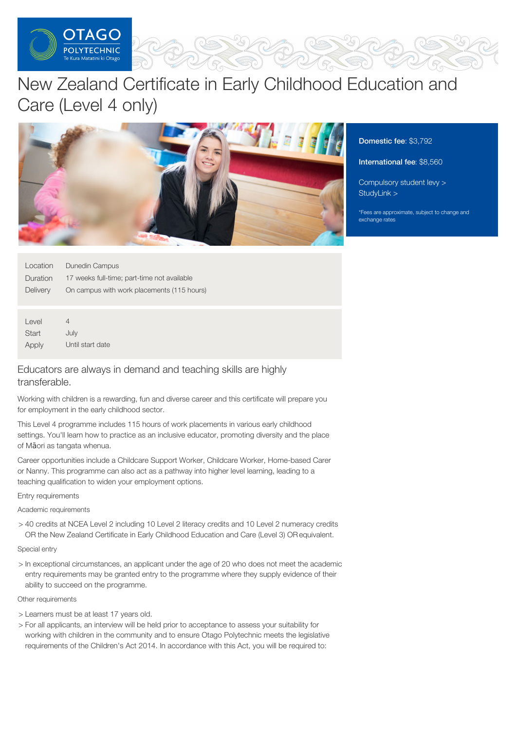

# New Zealand Certificate in Early Childhood Education and Care (Level 4 only)



Domestic fee: \$3,792

### International fee: \$8,560

[Compulsory](https://online.op.ac.nz/students/important-information/student-services-levy/) student levy > [StudyLink](https://www.studylink.govt.nz/) >

\*Fees are approximate, subject to change and exchange rates

| Location | Dunedin Campus                              |
|----------|---------------------------------------------|
| Duration | 17 weeks full-time; part-time not available |
| Delivery | On campus with work placements (115 hours)  |

Level **Start** Apply 4 July Until start date

## Educators are always in demand and teaching skills are highly transferable.

Working with children is a rewarding, fun and diverse career and this certificate will prepare you for employment in the early childhood sector.

This Level 4 programme includes 115 hours of work placements in various early childhood settings. You'll learn how to practice as an inclusive educator, promoting diversity and the place of Māori as tangata whenua.

Career opportunities include a Childcare Support Worker, Childcare Worker, Home-based Carer or Nanny. This programme can also act as a pathway into higher level learning, leading to a teaching qualification to widen your employment options.

Entry requirements

Academic requirements

> 40 credits at NCEA Level 2 including 10 Level 2 literacy credits and 10 Level 2 numeracy credits OR the New Zealand Certificate in Early Childhood Education and Care (Level 3) ORequivalent.

Special entry

> In exceptional circumstances, an applicant under the age of 20 who does not meet the academic entry requirements may be granted entry to the programme where they supply evidence of their ability to succeed on the programme.

Other requirements

- > Learners must be at least 17 years old.
- > For all applicants, an interview will be held prior to acceptance to assess your suitability for working with children in the community and to ensure Otago Polytechnic meets the legislative requirements of the Children's Act 2014. In accordance with this Act, you will be required to: